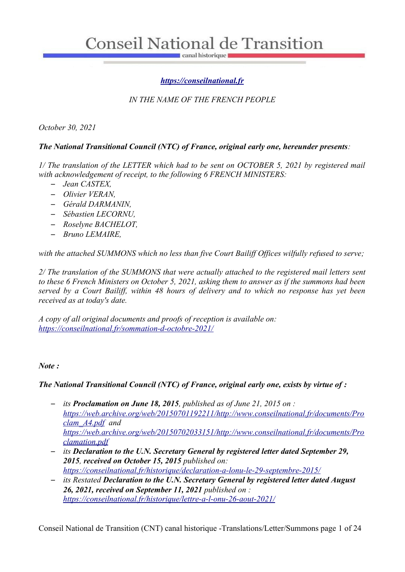canal historique

# *[https://conseilnational.fr](https://conseilnational.fr/)*

# *IN THE NAME OF THE FRENCH PEOPLE*

*October 30, 2021*

## *The National Transitional Council (NTC) of France, original early one, hereunder presents:*

*1/ The translation of the LETTER which had to be sent on OCTOBER 5, 2021 by registered mail with acknowledgement of receipt, to the following 6 FRENCH MINISTERS:* 

- *Jean CASTEX,*
- *Olivier VERAN,*
- *Gérald DARMANIN,*
- *Sébastien LECORNU,*
- *Roselyne BACHELOT,*
- *Bruno LEMAIRE,*

*with the attached SUMMONS which no less than five Court Bailiff Offices wilfully refused to serve;*

*2/ The translation of the SUMMONS that were actually attached to the registered mail letters sent to these 6 French Ministers on October 5, 2021, asking them to answer as if the summons had been served by a Court Bailiff, within 48 hours of delivery and to which no response has yet been received as at today's date.*

*A copy of all original documents and proofs of reception is available on: <https://conseilnational.fr/sommation-d-octobre-2021/>*

## *Note :*

## *The National Transitional Council (NTC) of France, original early one, exists by virtue of :*

- *its Proclamation on June 18, 2015, published as of June 21, 2015 on : [https://web.archive.org/web/20150701192211/http://www.conseilnational.fr/documents/Pro](https://web.archive.org/web/20150701192211/http://www.conseilnational.fr/documents/Proclam_A4.pdf) [clam\\_A4.pdf](https://web.archive.org/web/20150701192211/http://www.conseilnational.fr/documents/Proclam_A4.pdf) and [https://web.archive.org/web/20150702033151/http://www.conseilnational.fr/documents/Pro](https://web.archive.org/web/20150702033151/http://www.conseilnational.fr/documents/Proclamation.pdf) [clamation.pdf](https://web.archive.org/web/20150702033151/http://www.conseilnational.fr/documents/Proclamation.pdf)*
- *its Declaration to the U.N. Secretary General by registered letter dated September 29, 2015, received on October 15, 2015 published on: <https://conseilnational.fr/historique/declaration-a-lonu-le-29-septembre-2015/>*
- *its Restated Declaration to the U.N. Secretary General by registered letter dated August 26, 2021, received on September 11, 2021 published on : <https://conseilnational.fr/historique/lettre-a-l-onu-26-aout-2021/>*

Conseil National de Transition (CNT) canal historique -Translations/Letter/Summons page 1 of 24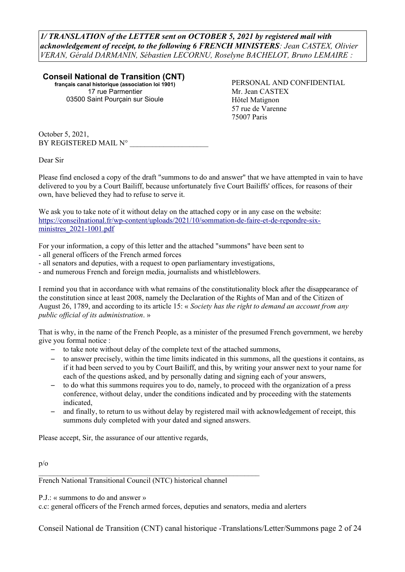*1/ TRANSLATION of the LETTER sent on OCTOBER 5, 2021 by registered mail with acknowledgement of receipt, to the following 6 FRENCH MINISTERS: Jean CASTEX, Olivier VERAN, Gérald DARMANIN, Sébastien LECORNU, Roselyne BACHELOT, Bruno LEMAIRE :*

**Conseil National de Transition (CNT) français canal historique (association loi 1901)** 17 rue Parmentier 03500 Saint Pourçain sur Sioule

PERSONAL AND CONFIDENTIAL Mr. Jean CASTEX Hôtel Matignon 57 rue de Varenne 75007 Paris

October 5, 2021, BY REGISTERED MAIL N°

Dear Sir

Please find enclosed a copy of the draft "summons to do and answer" that we have attempted in vain to have delivered to you by a Court Bailiff, because unfortunately five Court Bailiffs' offices, for reasons of their own, have believed they had to refuse to serve it.

We ask you to take note of it without delay on the attached copy or in any case on the website: [https://conseilnational.fr/wp-content/uploads/2021/10/sommation-de-faire-et-de-repondre-six](https://conseilnational.fr/wp-content/uploads/2021/10/sommation-de-faire-et-de-repondre-six-ministres_2021-1001.pdf)[ministres\\_2021-1001.pdf](https://conseilnational.fr/wp-content/uploads/2021/10/sommation-de-faire-et-de-repondre-six-ministres_2021-1001.pdf) 

For your information, a copy of this letter and the attached "summons" have been sent to

- all general officers of the French armed forces
- all senators and deputies, with a request to open parliamentary investigations,
- and numerous French and foreign media, journalists and whistleblowers.

I remind you that in accordance with what remains of the constitutionality block after the disappearance of the constitution since at least 2008, namely the Declaration of the Rights of Man and of the Citizen of August 26, 1789, and according to its article 15: « *Society has the right to demand an account from any public official of its administration*. »

That is why, in the name of the French People, as a minister of the presumed French government, we hereby give you formal notice :

- to take note without delay of the complete text of the attached summons,
- to answer precisely, within the time limits indicated in this summons, all the questions it contains, as if it had been served to you by Court Bailiff, and this, by writing your answer next to your name for each of the questions asked, and by personally dating and signing each of your answers,
- to do what this summons requires you to do, namely, to proceed with the organization of a press conference, without delay, under the conditions indicated and by proceeding with the statements indicated,
- and finally, to return to us without delay by registered mail with acknowledgement of receipt, this summons duly completed with your dated and signed answers.

Please accept, Sir, the assurance of our attentive regards,

p/o

French National Transitional Council (NTC) historical channel

 $\mathcal{L}_\text{max}$  and the contract of the contract of the contract of the contract of the contract of the contract of

P.J.: « summons to do and answer »

c.c: general officers of the French armed forces, deputies and senators, media and alerters

Conseil National de Transition (CNT) canal historique -Translations/Letter/Summons page 2 of 24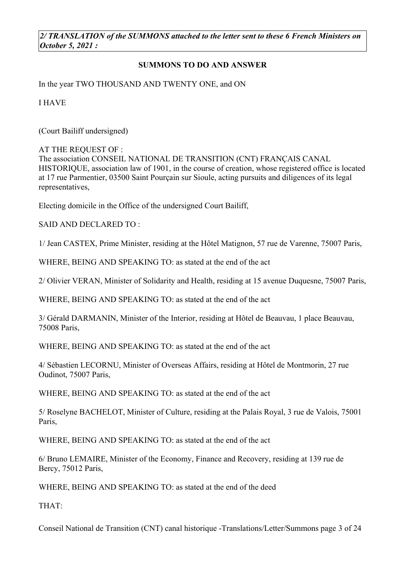*2/ TRANSLATION of the SUMMONS attached to the letter sent to these 6 French Ministers on October 5, 2021 :*

## **SUMMONS TO DO AND ANSWER**

In the year TWO THOUSAND AND TWENTY ONE, and ON

I HAVE

(Court Bailiff undersigned)

AT THE REQUEST OF :

The association CONSEIL NATIONAL DE TRANSITION (CNT) FRANÇAIS CANAL HISTORIQUE, association law of 1901, in the course of creation, whose registered office is located at 17 rue Parmentier, 03500 Saint Pourçain sur Sioule, acting pursuits and diligences of its legal representatives,

Electing domicile in the Office of the undersigned Court Bailiff,

SAID AND DECLARED TO :

1/ Jean CASTEX, Prime Minister, residing at the Hôtel Matignon, 57 rue de Varenne, 75007 Paris,

WHERE, BEING AND SPEAKING TO: as stated at the end of the act

2/ Olivier VERAN, Minister of Solidarity and Health, residing at 15 avenue Duquesne, 75007 Paris,

WHERE, BEING AND SPEAKING TO: as stated at the end of the act

3/ Gérald DARMANIN, Minister of the Interior, residing at Hôtel de Beauvau, 1 place Beauvau, 75008 Paris,

WHERE, BEING AND SPEAKING TO: as stated at the end of the act

4/ Sébastien LECORNU, Minister of Overseas Affairs, residing at Hôtel de Montmorin, 27 rue Oudinot, 75007 Paris,

WHERE, BEING AND SPEAKING TO: as stated at the end of the act

5/ Roselyne BACHELOT, Minister of Culture, residing at the Palais Royal, 3 rue de Valois, 75001 Paris,

WHERE, BEING AND SPEAKING TO: as stated at the end of the act

6/ Bruno LEMAIRE, Minister of the Economy, Finance and Recovery, residing at 139 rue de Bercy, 75012 Paris,

WHERE, BEING AND SPEAKING TO: as stated at the end of the deed

THAT:

Conseil National de Transition (CNT) canal historique -Translations/Letter/Summons page 3 of 24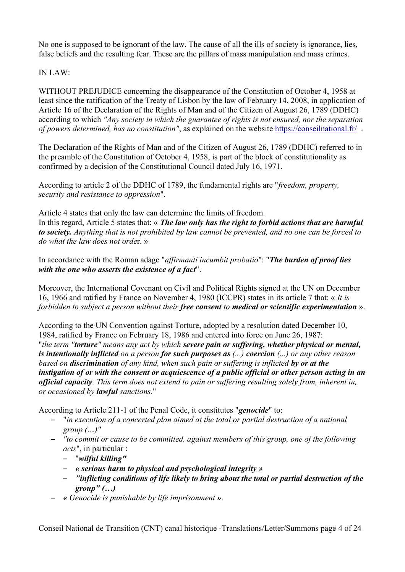No one is supposed to be ignorant of the law. The cause of all the ills of society is ignorance, lies, false beliefs and the resulting fear. These are the pillars of mass manipulation and mass crimes.

## IN LAW $\cdot$

WITHOUT PREJUDICE concerning the disappearance of the Constitution of October 4, 1958 at least since the ratification of the Treaty of Lisbon by the law of February 14, 2008, in application of Article 16 of the Declaration of the Rights of Man and of the Citizen of August 26, 1789 (DDHC) according to which *"Any society in which the guarantee of rights is not ensured, nor the separation of powers determined, has no constitution"*, as explained on the website<https://conseilnational.fr/>.

The Declaration of the Rights of Man and of the Citizen of August 26, 1789 (DDHC) referred to in the preamble of the Constitution of October 4, 1958, is part of the block of constitutionality as confirmed by a decision of the Constitutional Council dated July 16, 1971.

According to article 2 of the DDHC of 1789, the fundamental rights are "*freedom, property, security and resistance to oppression*".

Article 4 states that only the law can determine the limits of freedom. In this regard, Article 5 states that: « *The law only has the right to forbid actions that are harmful to society. Anything that is not prohibited by law cannot be prevented, and no one can be forced to do what the law does not orde*r. »

In accordance with the Roman adage "*affirmanti incumbit probatio*": "*The burden of proof lies with the one who asserts the existence of a fact*".

Moreover, the International Covenant on Civil and Political Rights signed at the UN on December 16, 1966 and ratified by France on November 4, 1980 (ICCPR) states in its article 7 that: « *It is forbidden to subject a person without their free consent to medical or scientific experimentation* ».

According to the UN Convention against Torture, adopted by a resolution dated December 10, 1984, ratified by France on February 18, 1986 and entered into force on June 26, 1987: "*the term "torture" means any act by which severe pain or suffering, whether physical or mental, is intentionally inflicted on a person for such purposes as (...) coercion (...) or any other reason based on discrimination of any kind, when such pain or suffering is inflicted by or at the instigation of or with the consent or acquiescence of a public official or other person acting in an official capacity. This term does not extend to pain or suffering resulting solely from, inherent in, or occasioned by lawful sanctions.*"

According to Article 211-1 of the Penal Code, it constitutes "*genocide*" to:

- "*in execution of a concerted plan aimed at the total or partial destruction of a national group (…)"*
- *"to commit or cause to be committed, against members of this group, one of the following acts*", in particular :
	- "*wilful killing"*
	- *« serious harm to physical and psychological integrity »*
	- *"inflicting conditions of life likely to bring about the total or partial destruction of the group" (…)*
- *« Genocide is punishable by life imprisonment »*.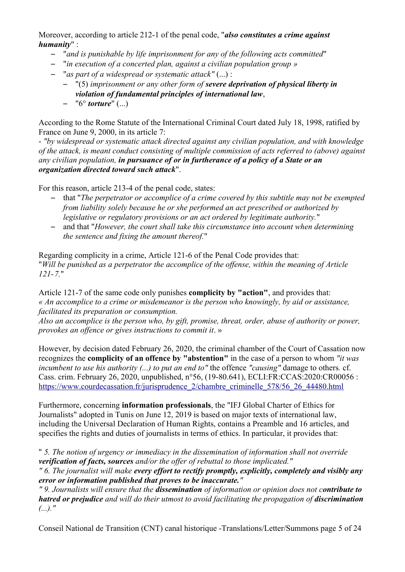Moreover, according to article 212-1 of the penal code, "*also constitutes a crime against humanity*" :

- "*and is punishable by life imprisonment for any of the following acts committed*"
- "*in execution of a concerted plan, against a civilian population group »*
- "*as part of a widespread or systematic attack"* (...) :
	- "(5) *imprisonment or any other form of severe deprivation of physical liberty in violation of fundamental principles of international law*,
	- "6° *torture*" (...)

According to the Rome Statute of the International Criminal Court dated July 18, 1998, ratified by France on June 9, 2000, in its article 7:

- *"by widespread or systematic attack directed against any civilian population, and with knowledge of the attack, is meant conduct consisting of multiple commission of acts referred to (above) against any civilian population, in pursuance of or in furtherance of a policy of a State or an organization directed toward such attack*".

For this reason, article 213-4 of the penal code, states:

- that "*The perpetrator or accomplice of a crime covered by this subtitle may not be exempted from liability solely because he or she performed an act prescribed or authorized by legislative or regulatory provisions or an act ordered by legitimate authority.*"
- and that "*However, the court shall take this circumstance into account when determining the sentence and fixing the amount thereof.*"

Regarding complicity in a crime, Article 121-6 of the Penal Code provides that: "*Will be punished as a perpetrator the accomplice of the offense, within the meaning of Article 121-7.*"

Article 121-7 of the same code only punishes **complicity by "action"**, and provides that: *« An accomplice to a crime or misdemeanor is the person who knowingly, by aid or assistance, facilitated its preparation or consumption.*

*Also an accomplice is the person who, by gift, promise, threat, order, abuse of authority or power, provokes an offence or gives instructions to commit it*. »

However, by decision dated February 26, 2020, the criminal chamber of the Court of Cassation now recognizes the **complicity of an offence by "abstention"** in the case of a person to whom *"it was incumbent to use his authority (...) to put an end to"* the offence *"causing"* damage to others*.* cf. Cass. crim. February 26, 2020, unpublished, n°56, (19-80.641), ECLI:FR:CCAS:2020:CR00056 : [https://www.courdecassation.fr/jurisprudence\\_2/chambre\\_criminelle\\_578/56\\_26\\_44480.html](https://www.courdecassation.fr/jurisprudence_2/chambre_criminelle_578/56_26_44480.html) 

Furthermore, concerning **information professionals**, the "IFJ Global Charter of Ethics for Journalists" adopted in Tunis on June 12, 2019 is based on major texts of international law, including the Universal Declaration of Human Rights, contains a Preamble and 16 articles, and specifies the rights and duties of journalists in terms of ethics. In particular, it provides that:

" *5. The notion of urgency or immediacy in the dissemination of information shall not override verification of facts, sources and/or the offer of rebuttal to those implicated."*

*" 6. The journalist will make every effort to rectify promptly, explicitly, completely and visibly any error or information published that proves to be inaccurate."*

*" 9. Journalists will ensure that the dissemination of information or opinion does not contribute to hatred or prejudice and will do their utmost to avoid facilitating the propagation of discrimination (...)."*

Conseil National de Transition (CNT) canal historique -Translations/Letter/Summons page 5 of 24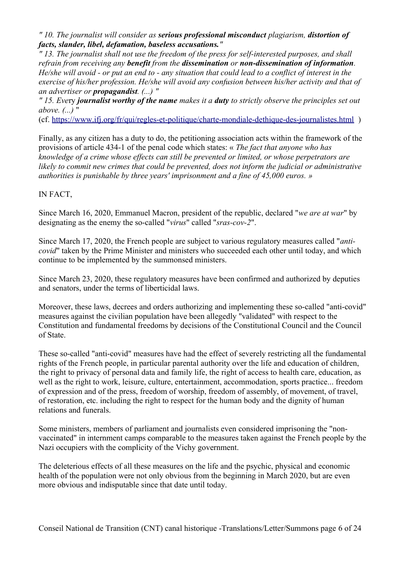*" 10. The journalist will consider as serious professional misconduct plagiarism, distortion of facts, slander, libel, defamation, baseless accusations."*

*" 13. The journalist shall not use the freedom of the press for self-interested purposes, and shall refrain from receiving any benefit from the dissemination or non-dissemination of information. He/she will avoid - or put an end to - any situation that could lead to a conflict of interest in the exercise of his/her profession. He/she will avoid any confusion between his/her activity and that of an advertiser or propagandist. (...) "*

*" 15. Eve*ry *journalist worthy of the name makes it a duty to strictly observe the principles set out above. (...)* "

(cf.<https://www.ifj.org/fr/qui/regles-et-politique/charte-mondiale-dethique-des-journalistes.html>)

Finally, as any citizen has a duty to do, the petitioning association acts within the framework of the provisions of article 434-1 of the penal code which states: « *The fact that anyone who has knowledge of a crime whose effects can still be prevented or limited, or whose perpetrators are likely to commit new crimes that could be prevented, does not inform the judicial or administrative authorities is punishable by three years' imprisonment and a fine of 45,000 euros. »*

## IN FACT,

Since March 16, 2020, Emmanuel Macron, president of the republic, declared "*we are at war*" by designating as the enemy the so-called "*virus*" called "*sras-cov-2*".

Since March 17, 2020, the French people are subject to various regulatory measures called "*anticovid*" taken by the Prime Minister and ministers who succeeded each other until today, and which continue to be implemented by the summonsed ministers.

Since March 23, 2020, these regulatory measures have been confirmed and authorized by deputies and senators, under the terms of liberticidal laws.

Moreover, these laws, decrees and orders authorizing and implementing these so-called "anti-covid" measures against the civilian population have been allegedly "validated" with respect to the Constitution and fundamental freedoms by decisions of the Constitutional Council and the Council of State.

These so-called "anti-covid" measures have had the effect of severely restricting all the fundamental rights of the French people, in particular parental authority over the life and education of children, the right to privacy of personal data and family life, the right of access to health care, education, as well as the right to work, leisure, culture, entertainment, accommodation, sports practice... freedom of expression and of the press, freedom of worship, freedom of assembly, of movement, of travel, of restoration, etc. including the right to respect for the human body and the dignity of human relations and funerals.

Some ministers, members of parliament and journalists even considered imprisoning the "nonvaccinated" in internment camps comparable to the measures taken against the French people by the Nazi occupiers with the complicity of the Vichy government.

The deleterious effects of all these measures on the life and the psychic, physical and economic health of the population were not only obvious from the beginning in March 2020, but are even more obvious and indisputable since that date until today.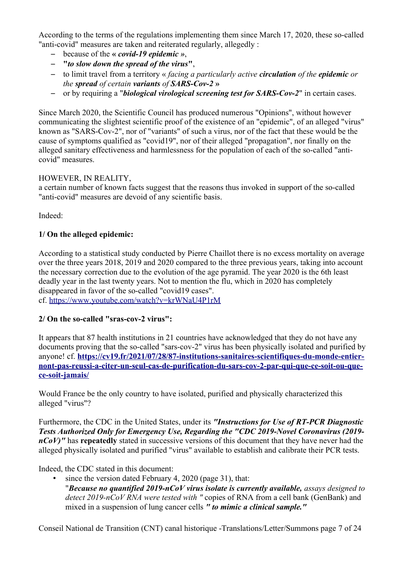According to the terms of the regulations implementing them since March 17, 2020, these so-called "anti-covid" measures are taken and reiterated regularly, allegedly :

- because of the **«** *covid-19 epidemic »*,
- **"***to slow down the spread of the virus***"**,
- to limit travel from a territory « *facing a particularly active circulation of the epidemic or the spread of certain variants of SARS-Cov-2* **»**
- or by requiring a "*biological virological screening test for SARS-Cov-2*" in certain cases.

Since March 2020, the Scientific Council has produced numerous "Opinions", without however communicating the slightest scientific proof of the existence of an "epidemic", of an alleged "virus" known as "SARS-Cov-2", nor of "variants" of such a virus, nor of the fact that these would be the cause of symptoms qualified as "covid19", nor of their alleged "propagation", nor finally on the alleged sanitary effectiveness and harmlessness for the population of each of the so-called "anticovid" measures.

## HOWEVER, IN REALITY,

a certain number of known facts suggest that the reasons thus invoked in support of the so-called "anti-covid" measures are devoid of any scientific basis.

Indeed:

## **1/ On the alleged epidemic:**

According to a statistical study conducted by Pierre Chaillot there is no excess mortality on average over the three years 2018, 2019 and 2020 compared to the three previous years, taking into account the necessary correction due to the evolution of the age pyramid. The year 2020 is the 6th least deadly year in the last twenty years. Not to mention the flu, which in 2020 has completely disappeared in favor of the so-called "covid19 cases".

cf.<https://www.youtube.com/watch?v=krWNaU4P1rM>

## **2/ On the so-called "sras-cov-2 virus":**

It appears that 87 health institutions in 21 countries have acknowledged that they do not have any documents proving that the so-called "sars-cov-2" virus has been physically isolated and purified by anyone! cf. **[https://cv19.fr/2021/07/28/87-institutions-sanitaires-scientifiques-du-monde-entier](https://cv19.fr/2021/07/28/87-institutions-sanitaires-scientifiques-du-monde-entier-nont-pas-reussi-a-citer-un-seul-cas-de-purification-du-sars-cov-2-par-qui-que-ce-soit-ou-que-ce-soit-jamais/)[nont-pas-reussi-a-citer-un-seul-cas-de-purification-du-sars-cov-2-par-qui-que-ce-soit-ou-que](https://cv19.fr/2021/07/28/87-institutions-sanitaires-scientifiques-du-monde-entier-nont-pas-reussi-a-citer-un-seul-cas-de-purification-du-sars-cov-2-par-qui-que-ce-soit-ou-que-ce-soit-jamais/)[ce-soit-jamais/](https://cv19.fr/2021/07/28/87-institutions-sanitaires-scientifiques-du-monde-entier-nont-pas-reussi-a-citer-un-seul-cas-de-purification-du-sars-cov-2-par-qui-que-ce-soit-ou-que-ce-soit-jamais/)**

Would France be the only country to have isolated, purified and physically characterized this alleged "virus"?

Furthermore, the CDC in the United States, under its *"Instructions for Use of RT-PCR Diagnostic Tests Authorized Only for Emergency Use, Regarding the "CDC 2019-Novel Coronavirus (2019 nCoV)*" has **repeatedly** stated in successive versions of this document that they have never had the alleged physically isolated and purified "virus" available to establish and calibrate their PCR tests.

Indeed, the CDC stated in this document:

- since the version dated February 4, 2020 (page 31), that:
	- "*Because no quantified 2019-nCoV virus isolate is currently available, assays designed to detect 2019-nCoV RNA were tested with "* copies of RNA from a cell bank (GenBank) and mixed in a suspension of lung cancer cells *" to mimic a clinical sample."*

Conseil National de Transition (CNT) canal historique -Translations/Letter/Summons page 7 of 24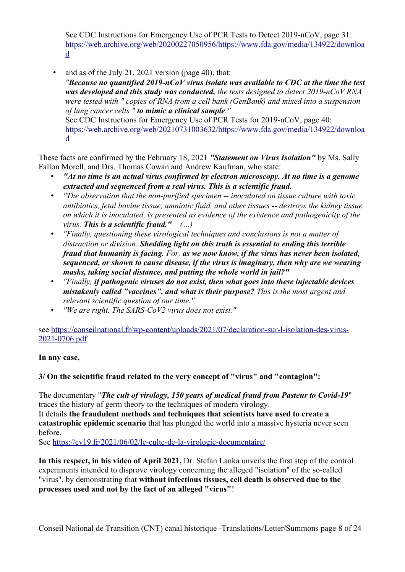See CDC Instructions for Emergency Use of PCR Tests to Detect 2019-nCoV, page 31: [https://web.archive.org/web/20200227050956/https://www.fda.gov/media/134922/downloa](https://web.archive.org/web/20200227050956/https://www.fda.gov/media/134922/download) [d](https://web.archive.org/web/20200227050956/https://www.fda.gov/media/134922/download) 

and as of the July 21, 2021 version (page 40), that: *"Because no quantified 2019-nCoV virus isolate was available to CDC at the time the test was developed and this study was conducted, the tests designed to detect 2019-nCoV RNA were tested with " copies of RNA from a cell bank (GenBank) and mixed into a suspension of lung cancer cells " to mimic a clinical sample."* See CDC Instructions for Emergency Use of PCR Tests for 2019-nCoV, page 40: [https://web.archive.org/web/20210731003632/https://www.fda.gov/media/134922/downloa](https://web.archive.org/web/20210731003632/https://www.fda.gov/media/134922/download) [d](https://web.archive.org/web/20210731003632/https://www.fda.gov/media/134922/download)

These facts are confirmed by the February 18, 2021 *"Statement on Virus Isolation"* by Ms. Sally Fallon Morell, and Drs. Thomas Cowan and Andrew Kaufman, who state:

- *"At no time is an actual virus confirmed by electron microscopy. At no time is a genome extracted and sequenced from a real virus. This is a scientific fraud.*
- *"The observation that the non-purified specimen -- inoculated on tissue culture with toxic antibiotics, fetal bovine tissue, amniotic fluid, and other tissues -- destroys the kidney tissue on which it is inoculated, is presented as evidence of the existence and pathogenicity of the virus. This is a scientific fraud." (…)*
- *"Finally, questioning these virological techniques and conclusions is not a matter of distraction or division. Shedding light on this truth is essential to ending this terrible fraud that humanity is facing. For, as we now know, if the virus has never been isolated, sequenced, or shown to cause disease, if the virus is imaginary, then why are we wearing masks, taking social distance, and putting the whole world in jail?"*
- *"Finally, if pathogenic viruses do not exist, then what goes into these injectable devices mistakenly called "vaccines", and what is their purpose? This is the most urgent and relevant scientific question of our time."*
- *"We are right. The SARS-CoV2 virus does not exist."*

see [https://conseilnational.fr/wp-content/uploads/2021/07/declaration-sur-l-isolation-des-virus-](https://conseilnational.fr/wp-content/uploads/2021/07/declaration-sur-l-isolation-des-virus-2021-0706.pdf)[2021-0706.pdf](https://conseilnational.fr/wp-content/uploads/2021/07/declaration-sur-l-isolation-des-virus-2021-0706.pdf) 

## **In any case,**

## **3/ On the scientific fraud related to the very concept of "virus" and "contagion":**

The documentary "*The cult of virology, 150 years of medical fraud from Pasteur to Covid-19*" traces the history of germ theory to the techniques of modern virology. It details **the fraudulent methods and techniques that scientists have used to create a catastrophic epidemic scenario** that has plunged the world into a massive hysteria never seen before.

See<https://cv19.fr/2021/06/02/le-culte-de-la-virologie-documentaire/>

**In this respect, in his video of April 2021,** Dr. Stefan Lanka unveils the first step of the control experiments intended to disprove virology concerning the alleged "isolation" of the so-called "virus", by demonstrating that **without infectious tissues, cell death is observed due to the processes used and not by the fact of an alleged "virus"**!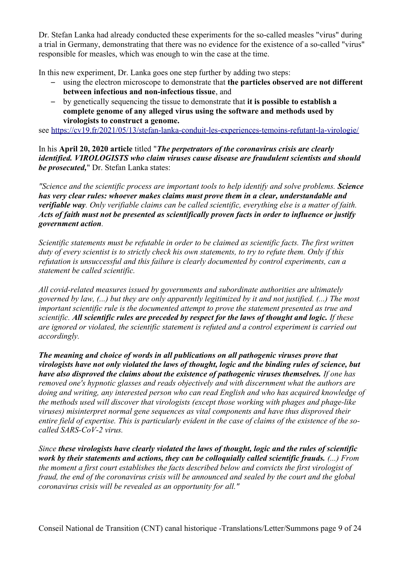Dr. Stefan Lanka had already conducted these experiments for the so-called measles "virus" during a trial in Germany, demonstrating that there was no evidence for the existence of a so-called "virus" responsible for measles, which was enough to win the case at the time.

In this new experiment, Dr. Lanka goes one step further by adding two steps:

- using the electron microscope to demonstrate that **the particles observed are not different between infectious and non-infectious tissue**, and
- by genetically sequencing the tissue to demonstrate that **it is possible to establish a complete genome of any alleged virus using the software and methods used by virologists to construct a genome.**

see<https://cv19.fr/2021/05/13/stefan-lanka-conduit-les-experiences-temoins-refutant-la-virologie/>

In his **April 20, 2020 article** titled "*The perpetrators of the coronavirus crisis are clearly identified. VIROLOGISTS who claim viruses cause disease are fraudulent scientists and should be prosecuted,*" Dr. Stefan Lanka states:

*"Science and the scientific process are important tools to help identify and solve problems. Science has very clear rules: whoever makes claims must prove them in a clear, understandable and verifiable way. Only verifiable claims can be called scientific, everything else is a matter of faith. Acts of faith must not be presented as scientifically proven facts in order to influence or justify government action.*

*Scientific statements must be refutable in order to be claimed as scientific facts. The first written duty of every scientist is to strictly check his own statements, to try to refute them. Only if this refutation is unsuccessful and this failure is clearly documented by control experiments, can a statement be called scientific.*

*All covid-related measures issued by governments and subordinate authorities are ultimately governed by law, (...) but they are only apparently legitimized by it and not justified. (...) The most important scientific rule is the documented attempt to prove the statement presented as true and scientific. All scientific rules are preceded by respect for the laws of thought and logic. If these are ignored or violated, the scientific statement is refuted and a control experiment is carried out accordingly.*

*The meaning and choice of words in all publications on all pathogenic viruses prove that virologists have not only violated the laws of thought, logic and the binding rules of science, but have also disproved the claims about the existence of pathogenic viruses themselves. If one has removed one's hypnotic glasses and reads objectively and with discernment what the authors are doing and writing, any interested person who can read English and who has acquired knowledge of the methods used will discover that virologists (except those working with phages and phage-like viruses) misinterpret normal gene sequences as vital components and have thus disproved their entire field of expertise. This is particularly evident in the case of claims of the existence of the socalled SARS-CoV-2 virus.*

*Since these virologists have clearly violated the laws of thought, logic and the rules of scientific work by their statements and actions, they can be colloquially called scientific frauds. (...) From the moment a first court establishes the facts described below and convicts the first virologist of fraud, the end of the coronavirus crisis will be announced and sealed by the court and the global coronavirus crisis will be revealed as an opportunity for all."*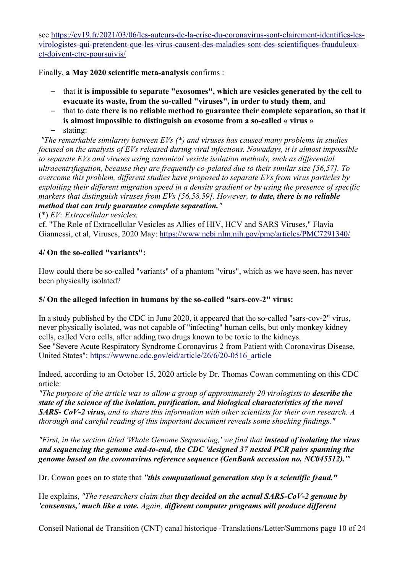see [https://cv19.fr/2021/03/06/les-auteurs-de-la-crise-du-coronavirus-sont-clairement-identifies-les](https://cv19.fr/2021/03/06/les-auteurs-de-la-crise-du-coronavirus-sont-clairement-identifies-les-virologistes-qui-pretendent-que-les-virus-causent-des-maladies-sont-des-scientifiques-frauduleux-et-doivent-etre-poursuivis/)[virologistes-qui-pretendent-que-les-virus-causent-des-maladies-sont-des-scientifiques-frauduleux](https://cv19.fr/2021/03/06/les-auteurs-de-la-crise-du-coronavirus-sont-clairement-identifies-les-virologistes-qui-pretendent-que-les-virus-causent-des-maladies-sont-des-scientifiques-frauduleux-et-doivent-etre-poursuivis/)[et-doivent-etre-poursuivis/](https://cv19.fr/2021/03/06/les-auteurs-de-la-crise-du-coronavirus-sont-clairement-identifies-les-virologistes-qui-pretendent-que-les-virus-causent-des-maladies-sont-des-scientifiques-frauduleux-et-doivent-etre-poursuivis/) 

Finally, **a May 2020 scientific meta-analysis** confirms :

- that **it is impossible to separate "exosomes", which are vesicles generated by the cell to evacuate its waste, from the so-called "viruses", in order to study them**, and
- that to date **there is no reliable method to guarantee their complete separation, so that it is almost impossible to distinguish an exosome from a so-called « virus »**
- stating:

 *"The remarkable similarity between EVs (\*) and viruses has caused many problems in studies focused on the analysis of EVs released during viral infections. Nowadays, it is almost impossible to separate EVs and viruses using canonical vesicle isolation methods, such as differential ultracentrifugation, because they are frequently co-pelated due to their similar size [56,57]. To overcome this problem, different studies have proposed to separate EVs from virus particles by exploiting their different migration speed in a density gradient or by using the presence of specific markers that distinguish viruses from EVs [56,58,59]. However, to date, there is no reliable method that can truly guarantee complete separation."* 

(\*) *EV: Extracellular vesicles.*

cf. "The Role of Extracellular Vesicles as Allies of HIV, HCV and SARS Viruses," Flavia Giannessi, et al, Viruses, 2020 May:<https://www.ncbi.nlm.nih.gov/pmc/articles/PMC7291340/>

## **4/ On the so-called "variants":**

How could there be so-called "variants" of a phantom "virus", which as we have seen, has never been physically isolated?

## **5/ On the alleged infection in humans by the so-called "sars-cov-2" virus:**

In a study published by the CDC in June 2020, it appeared that the so-called "sars-cov-2" virus, never physically isolated, was not capable of "infecting" human cells, but only monkey kidney cells, called Vero cells, after adding two drugs known to be toxic to the kidneys. See "Severe Acute Respiratory Syndrome Coronavirus 2 from Patient with Coronavirus Disease, United States": [https://wwwnc.cdc.gov/eid/article/26/6/20-0516\\_article](https://wwwnc.cdc.gov/eid/article/26/6/20-0516_article) 

Indeed, according to an October 15, 2020 article by Dr. Thomas Cowan commenting on this CDC article:

*"The purpose of the article was to allow a group of approximately 20 virologists to describe the state of the science of the isolation, purification, and biological characteristics of the novel SARS- CoV-2 virus, and to share this information with other scientists for their own research. A thorough and careful reading of this important document reveals some shocking findings."* 

*"First, in the section titled 'Whole Genome Sequencing,' we find that instead of isolating the virus and sequencing the genome end-to-end, the CDC 'designed 37 nested PCR pairs spanning the genome based on the coronavirus reference sequence (GenBank accession no. NC045512).'"*

Dr. Cowan goes on to state that *"this computational generation step is a scientific fraud."* 

He explains, *"The researchers claim that they decided on the actual SARS-CoV-2 genome by 'consensus,' much like a vote. Again, different computer programs will produce different* 

Conseil National de Transition (CNT) canal historique -Translations/Letter/Summons page 10 of 24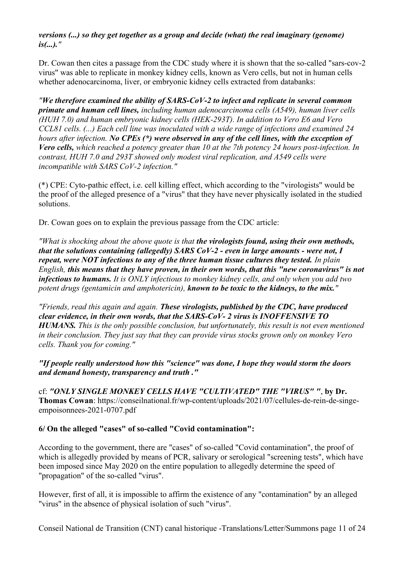## *versions (...) so they get together as a group and decide (what) the real imaginary (genome) is(...)."*

Dr. Cowan then cites a passage from the CDC study where it is shown that the so-called "sars-cov-2 virus" was able to replicate in monkey kidney cells, known as Vero cells, but not in human cells whether adenocarcinoma, liver, or embryonic kidney cells extracted from databanks:

*"We therefore examined the ability of SARS-CoV-2 to infect and replicate in several common primate and human cell lines, including human adenocarcinoma cells (A549), human liver cells (HUH 7.0) and human embryonic kidney cells (HEK-293T). In addition to Vero E6 and Vero CCL81 cells. (...) Each cell line was inoculated with a wide range of infections and examined 24 hours after infection. No CPEs (\*) were observed in any of the cell lines, with the exception of Vero cells, which reached a potency greater than 10 at the 7th potency 24 hours post-infection. In contrast, HUH 7.0 and 293T showed only modest viral replication, and A549 cells were incompatible with SARS CoV-2 infection."* 

(\*) CPE: Cyto-pathic effect, i.e. cell killing effect, which according to the "virologists" would be the proof of the alleged presence of a "virus" that they have never physically isolated in the studied solutions.

Dr. Cowan goes on to explain the previous passage from the CDC article:

*"What is shocking about the above quote is that the virologists found, using their own methods, that the solutions containing (allegedly) SARS CoV-2 - even in large amounts - were not, I repeat, were NOT infectious to any of the three human tissue cultures they tested. In plain English, this means that they have proven, in their own words, that this "new coronavirus" is not infectious to humans. It is ONLY infectious to monkey kidney cells, and only when you add two potent drugs (gentamicin and amphotericin), known to be toxic to the kidneys, to the mix."* 

*"Friends, read this again and again. These virologists, published by the CDC, have produced clear evidence, in their own words, that the SARS-CoV- 2 virus is INOFFENSIVE TO HUMANS. This is the only possible conclusion, but unfortunately, this result is not even mentioned in their conclusion. They just say that they can provide virus stocks grown only on monkey Vero cells. Thank you for coming."* 

## *"If people really understood how this "science" was done, I hope they would storm the doors and demand honesty, transparency and truth ."*

cf: *"ONLY SINGLE MONKEY CELLS HAVE "CULTIVATED" THE "VIRUS" "*, **by Dr. Thomas Cowan**: https://conseilnational.fr/wp-content/uploads/2021/07/cellules-de-rein-de-singeempoisonnees-2021-0707.pdf

## **6/ On the alleged "cases" of so-called "Covid contamination":**

According to the government, there are "cases" of so-called "Covid contamination", the proof of which is allegedly provided by means of PCR, salivary or serological "screening tests", which have been imposed since May 2020 on the entire population to allegedly determine the speed of "propagation" of the so-called "virus".

However, first of all, it is impossible to affirm the existence of any "contamination" by an alleged "virus" in the absence of physical isolation of such "virus".

Conseil National de Transition (CNT) canal historique -Translations/Letter/Summons page 11 of 24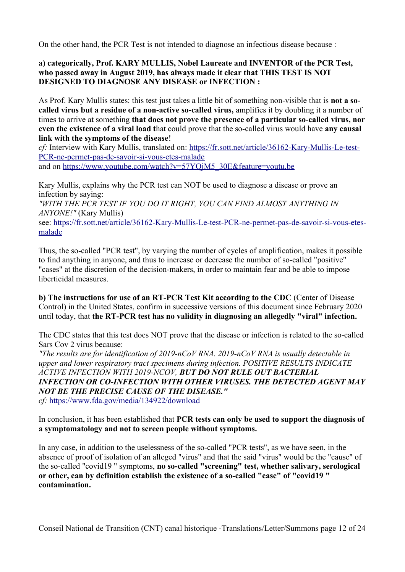On the other hand, the PCR Test is not intended to diagnose an infectious disease because :

## **a) categorically, Prof. KARY MULLIS, Nobel Laureate and INVENTOR of the PCR Test, who passed away in August 2019, has always made it clear that THIS TEST IS NOT DESIGNED TO DIAGNOSE ANY DISEASE or INFECTION :**

As Prof. Kary Mullis states: this test just takes a little bit of something non-visible that is **not a socalled virus but a residue of a non-active so-called virus,** amplifies it by doubling it a number of times to arrive at something **that does not prove the presence of a particular so-called virus, nor even the existence of a viral load t**hat could prove that the so-called virus would have **any causal link with the symptoms of the disease**!

*cf:* Interview with Kary Mullis, translated on: [https://fr.sott.net/article/36162-Kary-Mullis-Le-test-](https://fr.sott.net/article/36162-Kary-Mullis-Le-test-PCR-ne-permet-pas-de-savoir-si-vous-etes-malade)[PCR-ne-permet-pas-de-savoir-si-vous-etes-malade](https://fr.sott.net/article/36162-Kary-Mullis-Le-test-PCR-ne-permet-pas-de-savoir-si-vous-etes-malade) 

and on https://www.youtube.com/watch?v=57YQjM5\_30E&feature=youtu.be

Kary Mullis, explains why the PCR test can NOT be used to diagnose a disease or prove an infection by saying:

*"WITH THE PCR TEST IF YOU DO IT RIGHT, YOU CAN FIND ALMOST ANYTHING IN ANYONE!"* (Kary Mullis)

see: [https://fr.sott.net/article/36162-Kary-Mullis-Le-test-PCR-ne-permet-pas-de-savoir-si-vous-etes](https://fr.sott.net/article/36162-Kary-Mullis-Le-test-PCR-ne-permet-pas-de-savoir-si-vous-etes-malade)[malade](https://fr.sott.net/article/36162-Kary-Mullis-Le-test-PCR-ne-permet-pas-de-savoir-si-vous-etes-malade) 

Thus, the so-called "PCR test", by varying the number of cycles of amplification, makes it possible to find anything in anyone, and thus to increase or decrease the number of so-called "positive" "cases" at the discretion of the decision-makers, in order to maintain fear and be able to impose liberticidal measures.

**b) The instructions for use of an RT-PCR Test Kit according to the CDC** (Center of Disease Control) in the United States, confirm in successive versions of this document since February 2020 until today, that **the RT-PCR test has no validity in diagnosing an allegedly "viral" infection.**

The CDC states that this test does NOT prove that the disease or infection is related to the so-called Sars Cov 2 virus because:

*"The results are for identification of 2019-nCoV RNA. 2019-nCoV RNA is usually detectable in upper and lower respiratory tract specimens during infection. POSITIVE RESULTS INDICATE ACTIVE INFECTION WITH 2019-NCOV, BUT DO NOT RULE OUT BACTERIAL INFECTION OR CO-INFECTION WITH OTHER VIRUSES. THE DETECTED AGENT MAY NOT BE THE PRECISE CAUSE OF THE DISEASE." cf:* <https://www.fda.gov/media/134922/download>

In conclusion, it has been established that **PCR tests can only be used to support the diagnosis of a symptomatology and not to screen people without symptoms.**

In any case, in addition to the uselessness of the so-called "PCR tests", as we have seen, in the absence of proof of isolation of an alleged "virus" and that the said "virus" would be the "cause" of the so-called "covid19 " symptoms, **no so-called "screening" test, whether salivary, serological or other, can by definition establish the existence of a so-called "case" of "covid19 " contamination.**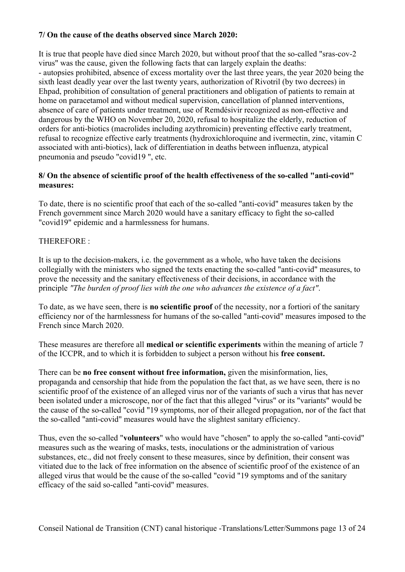## **7/ On the cause of the deaths observed since March 2020:**

It is true that people have died since March 2020, but without proof that the so-called "sras-cov-2 virus" was the cause, given the following facts that can largely explain the deaths: - autopsies prohibited, absence of excess mortality over the last three years, the year 2020 being the sixth least deadly year over the last twenty years, authorization of Rivotril (by two decrees) in Ehpad, prohibition of consultation of general practitioners and obligation of patients to remain at home on paracetamol and without medical supervision, cancellation of planned interventions, absence of care of patients under treatment, use of Remdésivir recognized as non-effective and dangerous by the WHO on November 20, 2020, refusal to hospitalize the elderly, reduction of orders for anti-biotics (macrolides including azythromicin) preventing effective early treatment, refusal to recognize effective early treatments (hydroxichloroquine and ivermectin, zinc, vitamin C associated with anti-biotics), lack of differentiation in deaths between influenza, atypical pneumonia and pseudo "covid19 ", etc.

## **8/ On the absence of scientific proof of the health effectiveness of the so-called "anti-covid" measures:**

To date, there is no scientific proof that each of the so-called "anti-covid" measures taken by the French government since March 2020 would have a sanitary efficacy to fight the so-called "covid19" epidemic and a harmlessness for humans.

## THEREFORE :

It is up to the decision-makers, i.e. the government as a whole, who have taken the decisions collegially with the ministers who signed the texts enacting the so-called "anti-covid" measures, to prove the necessity and the sanitary effectiveness of their decisions, in accordance with the principle *"The burden of proof lies with the one who advances the existence of a fact"*.

To date, as we have seen, there is **no scientific proof** of the necessity, nor a fortiori of the sanitary efficiency nor of the harmlessness for humans of the so-called "anti-covid" measures imposed to the French since March 2020.

These measures are therefore all **medical or scientific experiments** within the meaning of article 7 of the ICCPR, and to which it is forbidden to subject a person without his **free consent.**

There can be **no free consent without free information,** given the misinformation, lies, propaganda and censorship that hide from the population the fact that, as we have seen, there is no scientific proof of the existence of an alleged virus nor of the variants of such a virus that has never been isolated under a microscope, nor of the fact that this alleged "virus" or its "variants" would be the cause of the so-called "covid "19 symptoms, nor of their alleged propagation, nor of the fact that the so-called "anti-covid" measures would have the slightest sanitary efficiency.

Thus, even the so-called "**volunteers**" who would have "chosen" to apply the so-called "anti-covid" measures such as the wearing of masks, tests, inoculations or the administration of various substances, etc., did not freely consent to these measures, since by definition, their consent was vitiated due to the lack of free information on the absence of scientific proof of the existence of an alleged virus that would be the cause of the so-called "covid "19 symptoms and of the sanitary efficacy of the said so-called "anti-covid" measures.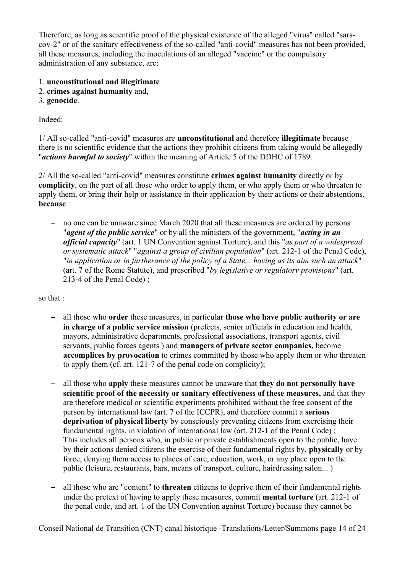Therefore, as long as scientific proof of the physical existence of the alleged "virus" called "sarscov-2" or of the sanitary effectiveness of the so-called "anti-covid" measures has not been provided, all these measures, including the inoculations of an alleged "vaccine" or the compulsory administration of any substance, are:

- 1. **unconstitutional and illegitimate**
- 2. **crimes against humanity** and,
- 3. **genocide**.

Indeed:

1/ All so-called "anti-covid" measures are **unconstitutional** and therefore **illegitimate** because there is no scientific evidence that the actions they prohibit citizens from taking would be allegedly "*actions harmful to society*" within the meaning of Article 5 of the DDHC of 1789.

2/ All the so-called "anti-covid" measures constitute **crimes against humanity** directly or by **complicity**, on the part of all those who order to apply them, or who apply them or who threaten to apply them, or bring their help or assistance in their application by their actions or their abstentions, **because** :

– no one can be unaware since March 2020 that all these measures are ordered by persons "*agent of the public service*" or by all the ministers of the government, "*acting in an official capacity*" (art. 1 UN Convention against Torture), and this "*as part of a widespread or systematic attack*" "*against a group of civilian population*" (art. 212-1 of the Penal Code), "*in application or in furtherance of the policy of a State... having as its aim such an attack*" (art. 7 of the Rome Statute), and prescribed "*by legislative or regulatory provisions*" (art. 213-4 of the Penal Code) ;

so that :

- all those who **order** these measures, in particular **those who have public authority or are in charge of a public service mission** (prefects, senior officials in education and health, mayors, administrative departments, professional associations, transport agents, civil servants, public forces agents ) and **managers of private sector companies,** become **accomplices by provocation** to crimes committed by those who apply them or who threaten to apply them (cf. art. 121-7 of the penal code on complicity);
- all those who **apply** these measures cannot be unaware that **they do not personally have scientific proof of the necessity or sanitary effectiveness of these measures,** and that they are therefore medical or scientific experiments prohibited without the free consent of the person by international law (art. 7 of the ICCPR), and therefore commit a **serious deprivation of physical liberty** by consciously preventing citizens from exercising their fundamental rights, in violation of international law (art. 212-1 of the Penal Code) ; This includes all persons who, in public or private establishments open to the public, have by their actions denied citizens the exercise of their fundamental rights by, **physically** or by force, denying them access to places of care, education, work, or any place open to the public (leisure, restaurants, bars, means of transport, culture, hairdressing salon... )
- all those who are "content" to **threaten** citizens to deprive them of their fundamental rights under the pretext of having to apply these measures, commit **mental torture** (art. 212-1 of the penal code, and art. 1 of the UN Convention against Torture) because they cannot be

Conseil National de Transition (CNT) canal historique -Translations/Letter/Summons page 14 of 24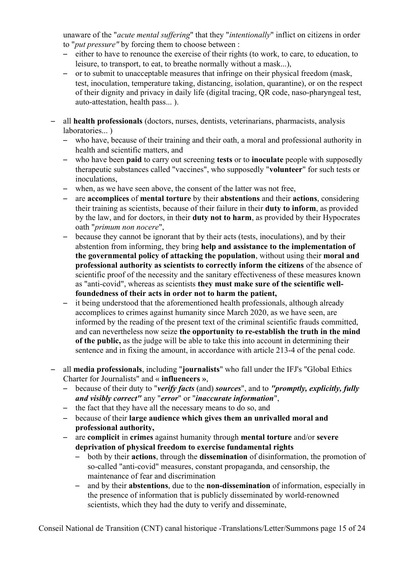unaware of the "*acute mental suffering*" that they "*intentionally*" inflict on citizens in order to "*put pressure"* by forcing them to choose between :

- either to have to renounce the exercise of their rights (to work, to care, to education, to leisure, to transport, to eat, to breathe normally without a mask...),
- or to submit to unacceptable measures that infringe on their physical freedom (mask, test, inoculation, temperature taking, distancing, isolation, quarantine), or on the respect of their dignity and privacy in daily life (digital tracing, QR code, naso-pharyngeal test, auto-attestation, health pass... ).
- all **health professionals** (doctors, nurses, dentists, veterinarians, pharmacists, analysis laboratories...)
	- who have, because of their training and their oath, a moral and professional authority in health and scientific matters, and
	- who have been **paid** to carry out screening **tests** or to **inoculate** people with supposedly therapeutic substances called "vaccines", who supposedly "**volunteer**" for such tests or inoculations,
	- when, as we have seen above, the consent of the latter was not free,
	- are **accomplices** of **mental torture** by their **abstentions** and their **actions**, considering their training as scientists, because of their failure in their **duty to inform**, as provided by the law, and for doctors, in their **duty not to harm**, as provided by their Hypocrates oath "*primum non nocere*",
	- because they cannot be ignorant that by their acts (tests, inoculations), and by their abstention from informing, they bring **help and assistance to the implementation of the governmental policy of attacking the population**, without using their **moral and professional authority as scientists to correctly inform the citizens** of the absence of scientific proof of the necessity and the sanitary effectiveness of these measures known as "anti-covid", whereas as scientists **they must make sure of the scientific wellfoundedness of their acts in order not to harm the patient,**
	- it being understood that the aforementioned health professionals, although already accomplices to crimes against humanity since March 2020, as we have seen, are informed by the reading of the present text of the criminal scientific frauds committed, and can nevertheless now seize **the opportunity to re-establish the truth in the mind of the public,** as the judge will be able to take this into account in determining their sentence and in fixing the amount, in accordance with article 213-4 of the penal code.
- all **media professionals**, including "**journalists**" who fall under the IFJ's "Global Ethics Charter for Journalists" and « **influencers »**,
	- because of their duty to "*verify facts* (and) *sources*", and to *"promptly, explicitly, fully and visibly correct"* any "*error*" or "*inaccurate information*",
	- the fact that they have all the necessary means to do so, and
	- because of their **large audience which gives them an unrivalled moral and professional authority,**
	- are **complicit** in **crimes** against humanity through **mental torture** and/or **severe deprivation of physical freedom to exercise fundamental rights**
		- both by their **actions**, through the **dissemination** of disinformation, the promotion of so-called "anti-covid" measures, constant propaganda, and censorship, the maintenance of fear and discrimination
		- and by their **abstentions**, due to the **non-dissemination** of information, especially in the presence of information that is publicly disseminated by world-renowned scientists, which they had the duty to verify and disseminate,

Conseil National de Transition (CNT) canal historique -Translations/Letter/Summons page 15 of 24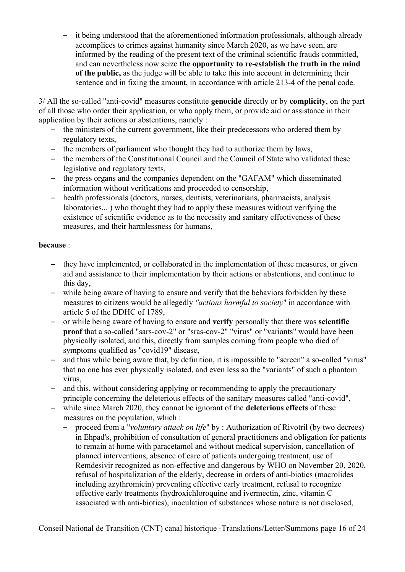– it being understood that the aforementioned information professionals, although already accomplices to crimes against humanity since March 2020, as we have seen, are informed by the reading of the present text of the criminal scientific frauds committed, and can nevertheless now seize **the opportunity to re-establish the truth in the mind of the public,** as the judge will be able to take this into account in determining their sentence and in fixing the amount, in accordance with article 213-4 of the penal code.

3/ All the so-called "anti-covid" measures constitute **genocide** directly or by **complicity**, on the part of all those who order their application, or who apply them, or provide aid or assistance in their application by their actions or abstentions, namely :

- the ministers of the current government, like their predecessors who ordered them by regulatory texts,
- the members of parliament who thought they had to authorize them by laws,
- the members of the Constitutional Council and the Council of State who validated these legislative and regulatory texts,
- the press organs and the companies dependent on the "GAFAM" which disseminated information without verifications and proceeded to censorship,
- health professionals (doctors, nurses, dentists, veterinarians, pharmacists, analysis laboratories... ) who thought they had to apply these measures without verifying the existence of scientific evidence as to the necessity and sanitary effectiveness of these measures, and their harmlessness for humans,

## **because** :

- they have implemented, or collaborated in the implementation of these measures, or given aid and assistance to their implementation by their actions or abstentions, and continue to this day,
- while being aware of having to ensure and verify that the behaviors forbidden by these measures to citizens would be allegedly *"actions harmful to society*" in accordance with article 5 of the DDHC of 1789,
- or while being aware of having to ensure and **verify** personally that there was **scientific proof** that a so-called "sars-cov-2" or "sras-cov-2" "virus" or "variants" would have been physically isolated, and this, directly from samples coming from people who died of symptoms qualified as "covid19" disease,
- and thus while being aware that, by definition, it is impossible to "screen" a so-called "virus" that no one has ever physically isolated, and even less so the "variants" of such a phantom virus,
- and this, without considering applying or recommending to apply the precautionary principle concerning the deleterious effects of the sanitary measures called "anti-covid",
- while since March 2020, they cannot be ignorant of the **deleterious effects** of these measures on the population, which :
	- proceed from a "*voluntary attack on life*" by : Authorization of Rivotril (by two decrees) in Ehpad's, prohibition of consultation of general practitioners and obligation for patients to remain at home with paracetamol and without medical supervision, cancellation of planned interventions, absence of care of patients undergoing treatment, use of Remdesivir recognized as non-effective and dangerous by WHO on November 20, 2020, refusal of hospitalization of the elderly, decrease in orders of anti-biotics (macrolides including azythromicin) preventing effective early treatment, refusal to recognize effective early treatments (hydroxichloroquine and ivermectin, zinc, vitamin C associated with anti-biotics), inoculation of substances whose nature is not disclosed,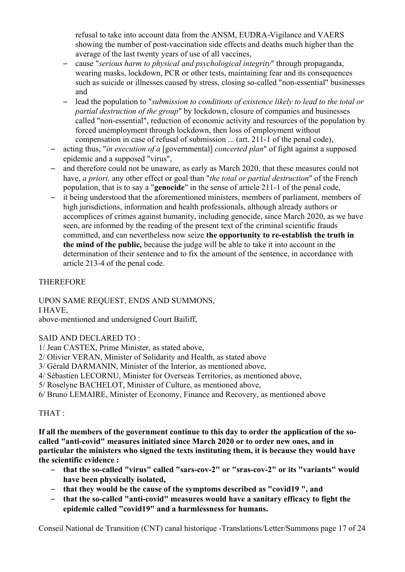refusal to take into account data from the ANSM, EUDRA-Vigilance and VAERS showing the number of post-vaccination side effects and deaths much higher than the average of the last twenty years of use of all vaccines,

- cause "*serious harm to physical and psychological integrity*" through propaganda, wearing masks, lockdown, PCR or other tests, maintaining fear and its consequences such as suicide or illnesses caused by stress, closing so-called "non-essential" businesses and
- lead the population to "*submission to conditions of existence likely to lead to the total or partial destruction of the group*" by lockdown, closure of companies and businesses called "non-essential", reduction of economic activity and resources of the population by forced unemployment through lockdown, then loss of employment without compensation in case of refusal of submission ... (art. 211-1 of the penal code),
- acting thus, "*in execution of a* [governmental] *concerted plan*" of fight against a supposed epidemic and a supposed "virus",
- and therefore could not be unaware, as early as March 2020, that these measures could not have, *a priori,* any other effect or goal than "*the total or partial destruction*" of the French population, that is to say a "**genocide**" in the sense of article 211-1 of the penal code,
- it being understood that the aforementioned ministers, members of parliament, members of high jurisdictions, information and health professionals, although already authors or accomplices of crimes against humanity, including genocide, since March 2020, as we have seen, are informed by the reading of the present text of the criminal scientific frauds committed, and can nevertheless now seize **the opportunity to re-establish the truth in the mind of the public,** because the judge will be able to take it into account in the determination of their sentence and to fix the amount of the sentence, in accordance with article 213-4 of the penal code.

## THEREFORE

UPON SAME REQUEST, ENDS AND SUMMONS,

I HAVE,

above-mentioned and undersigned Court Bailiff,

SAID AND DECLARED TO :

1/ Jean CASTEX, Prime Minister, as stated above,

2/ Olivier VERAN, Minister of Solidarity and Health, as stated above

3/ Gérald DARMANIN, Minister of the Interior, as mentioned above,

4/ Sébastien LECORNU, Minister for Overseas Territories, as mentioned above,

5/ Roselyne BACHELOT, Minister of Culture, as mentioned above,

6/ Bruno LEMAIRE, Minister of Economy, Finance and Recovery, as mentioned above

## THAT :

**If all the members of the government continue to this day to order the application of the socalled "anti-covid" measures initiated since March 2020 or to order new ones, and in particular the ministers who signed the texts instituting them, it is because they would have the scientific evidence :** 

- **that the so-called "virus" called "sars-cov-2" or "sras-cov-2" or its "variants" would have been physically isolated,**
- **that they would be the cause of the symptoms described as "covid19 ", and**
- **that the so-called "anti-covid" measures would have a sanitary efficacy to fight the epidemic called "covid19" and a harmlessness for humans.**

Conseil National de Transition (CNT) canal historique -Translations/Letter/Summons page 17 of 24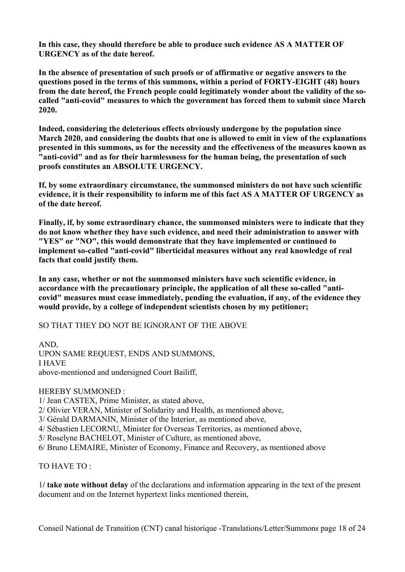**In this case, they should therefore be able to produce such evidence AS A MATTER OF URGENCY as of the date hereof.** 

**In the absence of presentation of such proofs or of affirmative or negative answers to the questions posed in the terms of this summons, within a period of FORTY-EIGHT (48) hours from the date hereof, the French people could legitimately wonder about the validity of the socalled "anti-covid" measures to which the government has forced them to submit since March 2020.**

**Indeed, considering the deleterious effects obviously undergone by the population since March 2020, and considering the doubts that one is allowed to emit in view of the explanations presented in this summons, as for the necessity and the effectiveness of the measures known as "anti-covid" and as for their harmlessness for the human being, the presentation of such proofs constitutes an ABSOLUTE URGENCY.**

**If, by some extraordinary circumstance, the summonsed ministers do not have such scientific evidence, it is their responsibility to inform me of this fact AS A MATTER OF URGENCY as of the date hereof.**

**Finally, if, by some extraordinary chance, the summonsed ministers were to indicate that they do not know whether they have such evidence, and need their administration to answer with "YES" or "NO", this would demonstrate that they have implemented or continued to implement so-called "anti-covid" liberticidal measures without any real knowledge of real facts that could justify them.**

**In any case, whether or not the summonsed ministers have such scientific evidence, in accordance with the precautionary principle, the application of all these so-called "anticovid" measures must cease immediately, pending the evaluation, if any, of the evidence they would provide, by a college of independent scientists chosen by my petitioner;**

SO THAT THEY DO NOT BE IGNORANT OF THE ABOVE

AND, UPON SAME REQUEST, ENDS AND SUMMONS, I HAVE above-mentioned and undersigned Court Bailiff,

HEREBY SUMMONED :

1/ Jean CASTEX, Prime Minister, as stated above,

2/ Olivier VERAN, Minister of Solidarity and Health, as mentioned above,

3/ Gérald DARMANIN, Minister of the Interior, as mentioned above,

4/ Sébastien LECORNU, Minister for Overseas Territories, as mentioned above,

5/ Roselyne BACHELOT, Minister of Culture, as mentioned above,

6/ Bruno LEMAIRE, Minister of Economy, Finance and Recovery, as mentioned above

TO HAVE TO :

1**/ take note without delay** of the declarations and information appearing in the text of the present document and on the Internet hypertext links mentioned therein,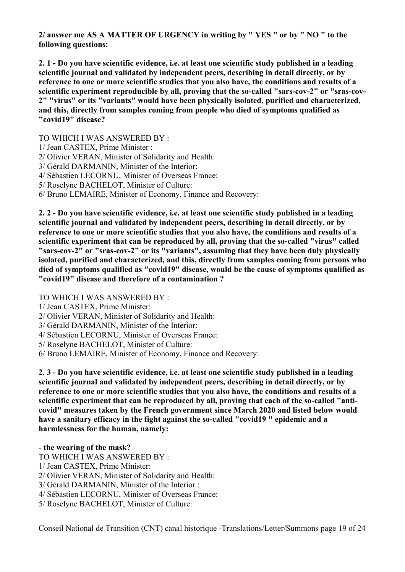**2/ answer me AS A MATTER OF URGENCY in writing by " YES " or by " NO " to the following questions:** 

**2. 1 - Do you have scientific evidence, i.e. at least one scientific study published in a leading scientific journal and validated by independent peers, describing in detail directly, or by reference to one or more scientific studies that you also have, the conditions and results of a scientific experiment reproducible by all, proving that the so-called "sars-cov-2" or "sras-cov-2" "virus" or its "variants" would have been physically isolated, purified and characterized, and this, directly from samples coming from people who died of symptoms qualified as "covid19" disease?**

TO WHICH I WAS ANSWERED BY :

- 1/ Jean CASTEX, Prime Minister :
- 2/ Olivier VERAN, Minister of Solidarity and Health:
- 3/ Gérald DARMANIN, Minister of the Interior:
- 4/ Sébastien LECORNU, Minister of Overseas France:
- 5/ Roselyne BACHELOT, Minister of Culture:
- 6/ Bruno LEMAIRE, Minister of Economy, Finance and Recovery:

**2. 2 - Do you have scientific evidence, i.e. at least one scientific study published in a leading scientific journal and validated by independent peers, describing in detail directly, or by reference to one or more scientific studies that you also have, the conditions and results of a scientific experiment that can be reproduced by all, proving that the so-called "virus" called "sars-cov-2" or "sras-cov-2" or its "variants", assuming that they have been duly physically isolated, purified and characterized, and this, directly from samples coming from persons who died of symptoms qualified as "covid19" disease, would be the cause of symptoms qualified as "covid19" disease and therefore of a contamination ?**

TO WHICH I WAS ANSWERED BY :

- 1/ Jean CASTEX, Prime Minister:
- 2/ Olivier VERAN, Minister of Solidarity and Health:
- 3/ Gérald DARMANIN, Minister of the Interior:
- 4/ Sébastien LECORNU, Minister of Overseas France:
- 5/ Roselyne BACHELOT, Minister of Culture:
- 6/ Bruno LEMAIRE, Minister of Economy, Finance and Recovery:

**2. 3 - Do you have scientific evidence, i.e. at least one scientific study published in a leading scientific journal and validated by independent peers, describing in detail directly, or by reference to one or more scientific studies that you also have, the conditions and results of a scientific experiment that can be reproduced by all, proving that each of the so-called "anticovid" measures taken by the French government since March 2020 and listed below would have a sanitary efficacy in the fight against the so-called "covid19 " epidemic and a harmlessness for the human, namely:**

**- the wearing of the mask?**

- TO WHICH I WAS ANSWERED BY :
- 1/ Jean CASTEX, Prime Minister:
- 2/ Olivier VERAN, Minister of Solidarity and Health:
- 3/ Gérald DARMANIN, Minister of the Interior :
- 4/ Sébastien LECORNU, Minister of Overseas France:
- 5/ Roselyne BACHELOT, Minister of Culture: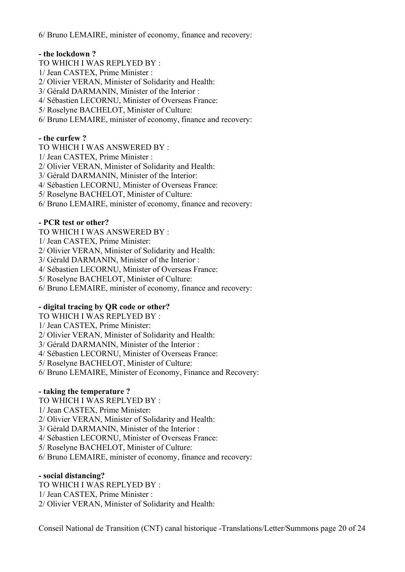6/ Bruno LEMAIRE, minister of economy, finance and recovery:

## **- the lockdown ?**

TO WHICH I WAS REPLYED BY : 1/ Jean CASTEX, Prime Minister : 2/ Olivier VERAN, Minister of Solidarity and Health: 3/ Gérald DARMANIN, Minister of the Interior : 4/ Sébastien LECORNU, Minister of Overseas France: 5/ Roselyne BACHELOT, Minister of Culture:

6/ Bruno LEMAIRE, minister of economy, finance and recovery:

## **- the curfew ?**

TO WHICH I WAS ANSWERED BY : 1/ Jean CASTEX, Prime Minister : 2/ Olivier VERAN, Minister of Solidarity and Health: 3/ Gérald DARMANIN, Minister of the Interior: 4/ Sébastien LECORNU, Minister of Overseas France: 5/ Roselyne BACHELOT, Minister of Culture: 6/ Bruno LEMAIRE, minister of economy, finance and recovery:

## **- PCR test or other?**

TO WHICH I WAS ANSWERED BY :

1/ Jean CASTEX, Prime Minister:

2/ Olivier VERAN, Minister of Solidarity and Health:

3/ Gérald DARMANIN, Minister of the Interior :

4/ Sébastien LECORNU, Minister of Overseas France:

5/ Roselyne BACHELOT, Minister of Culture:

6/ Bruno LEMAIRE, minister of economy, finance and recovery:

## **- digital tracing by QR code or other?**

TO WHICH I WAS REPLYED BY : 1/ Jean CASTEX, Prime Minister: 2/ Olivier VERAN, Minister of Solidarity and Health: 3/ Gérald DARMANIN, Minister of the Interior : 4/ Sébastien LECORNU, Minister of Overseas France: 5/ Roselyne BACHELOT, Minister of Culture: 6/ Bruno LEMAIRE, Minister of Economy, Finance and Recovery:

## **- taking the temperature ?**

TO WHICH I WAS REPLYED BY :

1/ Jean CASTEX, Prime Minister:

2/ Olivier VERAN, Minister of Solidarity and Health:

3/ Gérald DARMANIN, Minister of the Interior :

4/ Sébastien LECORNU, Minister of Overseas France:

5/ Roselyne BACHELOT, Minister of Culture:

6/ Bruno LEMAIRE, minister of economy, finance and recovery:

## **- social distancing?**

TO WHICH I WAS REPLYED BY : 1/ Jean CASTEX, Prime Minister : 2/ Olivier VERAN, Minister of Solidarity and Health: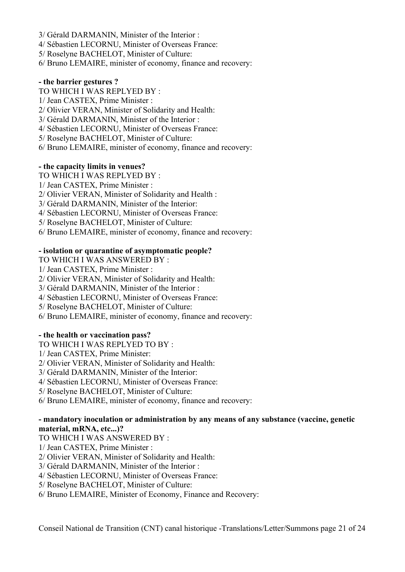- 3/ Gérald DARMANIN, Minister of the Interior :
- 4/ Sébastien LECORNU, Minister of Overseas France:
- 5/ Roselyne BACHELOT, Minister of Culture:
- 6/ Bruno LEMAIRE, minister of economy, finance and recovery:

#### **- the barrier gestures ?**

TO WHICH I WAS REPLYED BY :

- 1/ Jean CASTEX, Prime Minister :
- 2/ Olivier VERAN, Minister of Solidarity and Health:
- 3/ Gérald DARMANIN, Minister of the Interior :
- 4/ Sébastien LECORNU, Minister of Overseas France:
- 5/ Roselyne BACHELOT, Minister of Culture:
- 6/ Bruno LEMAIRE, minister of economy, finance and recovery:

#### **- the capacity limits in venues?**

- TO WHICH I WAS REPLYED BY :
- 1/ Jean CASTEX, Prime Minister :
- 2/ Olivier VERAN, Minister of Solidarity and Health :
- 3/ Gérald DARMANIN, Minister of the Interior:
- 4/ Sébastien LECORNU, Minister of Overseas France:
- 5/ Roselyne BACHELOT, Minister of Culture:
- 6/ Bruno LEMAIRE, minister of economy, finance and recovery:

## **- isolation or quarantine of asymptomatic people?**

- TO WHICH I WAS ANSWERED BY :
- 1/ Jean CASTEX, Prime Minister :
- 2/ Olivier VERAN, Minister of Solidarity and Health:
- 3/ Gérald DARMANIN, Minister of the Interior :
- 4/ Sébastien LECORNU, Minister of Overseas France:
- 5/ Roselyne BACHELOT, Minister of Culture:
- 6/ Bruno LEMAIRE, minister of economy, finance and recovery:

## **- the health or vaccination pass?**

- TO WHICH I WAS REPLYED TO BY :
- 1/ Jean CASTEX, Prime Minister:
- 2/ Olivier VERAN, Minister of Solidarity and Health:
- 3/ Gérald DARMANIN, Minister of the Interior:
- 4/ Sébastien LECORNU, Minister of Overseas France:
- 5/ Roselyne BACHELOT, Minister of Culture:
- 6/ Bruno LEMAIRE, minister of economy, finance and recovery:

#### **- mandatory inoculation or administration by any means of any substance (vaccine, genetic material, mRNA, etc...)?**

- TO WHICH I WAS ANSWERED BY :
- 1/ Jean CASTEX, Prime Minister :
- 2/ Olivier VERAN, Minister of Solidarity and Health:
- 3/ Gérald DARMANIN, Minister of the Interior :
- 4/ Sébastien LECORNU, Minister of Overseas France:
- 5/ Roselyne BACHELOT, Minister of Culture:
- 6/ Bruno LEMAIRE, Minister of Economy, Finance and Recovery: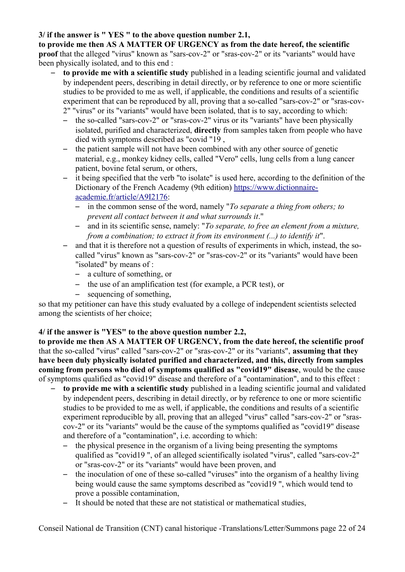## **3/ if the answer is " YES " to the above question number 2.1,**

**to provide me then AS A MATTER OF URGENCY as from the date hereof, the scientific proof** that the alleged "virus" known as "sars-cov-2" or "sras-cov-2" or its "variants" would have been physically isolated, and to this end :

- **to provide me with a scientific study** published in a leading scientific journal and validated by independent peers, describing in detail directly, or by reference to one or more scientific studies to be provided to me as well, if applicable, the conditions and results of a scientific experiment that can be reproduced by all, proving that a so-called "sars-cov-2" or "sras-cov-2" "virus" or its "variants" would have been isolated, that is to say, according to which:
	- the so-called "sars-cov-2" or "sras-cov-2" virus or its "variants" have been physically isolated, purified and characterized, **directly** from samples taken from people who have died with symptoms described as "covid "19 ,
	- the patient sample will not have been combined with any other source of genetic material, e.g., monkey kidney cells, called "Vero" cells, lung cells from a lung cancer patient, bovine fetal serum, or others,
	- it being specified that the verb "to isolate" is used here, according to the definition of the Dictionary of the French Academy (9th edition) [https://www.dictionnaire](https://www.dictionnaire-academie.fr/article/A9I2176)[academie.fr/article/A9I2176:](https://www.dictionnaire-academie.fr/article/A9I2176)
		- in the common sense of the word, namely "*To separate a thing from others; to prevent all contact between it and what surrounds it*."
		- and in its scientific sense, namely: "*To separate, to free an element from a mixture, from a combination; to extract it from its environment (...) to identify it*".
	- and that it is therefore not a question of results of experiments in which, instead, the socalled "virus" known as "sars-cov-2" or "sras-cov-2" or its "variants" would have been "isolated" by means of :
		- a culture of something, or
		- the use of an amplification test (for example, a PCR test), or
		- sequencing of something.

so that my petitioner can have this study evaluated by a college of independent scientists selected among the scientists of her choice;

## **4/ if the answer is "YES" to the above question number 2.2,**

**to provide me then AS A MATTER OF URGENCY, from the date hereof, the scientific proof**  that the so-called "virus" called "sars-cov-2" or "sras-cov-2" or its "variants", **assuming that they have been duly physically isolated purified and characterized, and this, directly from samples coming from persons who died of symptoms qualified as "covid19" disease**, would be the cause of symptoms qualified as "covid19" disease and therefore of a "contamination", and to this effect :

- **to provide me with a scientific study** published in a leading scientific journal and validated by independent peers, describing in detail directly, or by reference to one or more scientific studies to be provided to me as well, if applicable, the conditions and results of a scientific experiment reproducible by all, proving that an alleged "virus" called "sars-cov-2" or "srascov-2" or its "variants" would be the cause of the symptoms qualified as "covid19" disease and therefore of a "contamination", i.e. according to which:
	- the physical presence in the organism of a living being presenting the symptoms qualified as "covid19 ", of an alleged scientifically isolated "virus", called "sars-cov-2" or "sras-cov-2" or its "variants" would have been proven, and
	- the inoculation of one of these so-called "viruses" into the organism of a healthy living being would cause the same symptoms described as "covid19 ", which would tend to prove a possible contamination,
	- It should be noted that these are not statistical or mathematical studies,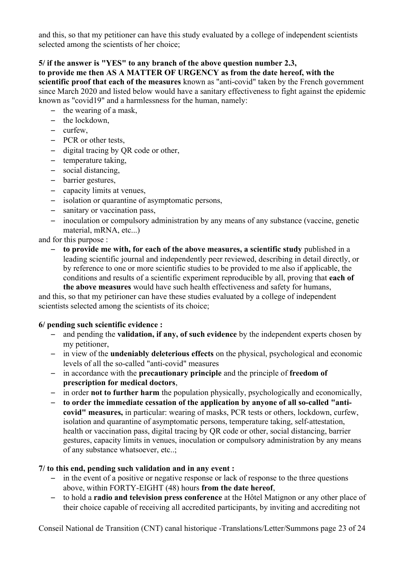and this, so that my petitioner can have this study evaluated by a college of independent scientists selected among the scientists of her choice;

## **5/ if the answer is "YES" to any branch of the above question number 2.3,**

#### **to provide me then AS A MATTER OF URGENCY as from the date hereof, with the**

**scientific proof that each of the measures** known as "anti-covid" taken by the French government since March 2020 and listed below would have a sanitary effectiveness to fight against the epidemic known as "covid19" and a harmlessness for the human, namely:

- the wearing of a mask,
- the lockdown,
- curfew,
- PCR or other tests,
- digital tracing by QR code or other,
- temperature taking,
- social distancing,
- barrier gestures,
- capacity limits at venues,
- isolation or quarantine of asymptomatic persons,
- sanitary or vaccination pass,
- inoculation or compulsory administration by any means of any substance (vaccine, genetic material, mRNA, etc...)

and for this purpose :

– **to provide me with, for each of the above measures, a scientific study** published in a leading scientific journal and independently peer reviewed, describing in detail directly, or by reference to one or more scientific studies to be provided to me also if applicable, the conditions and results of a scientific experiment reproducible by all, proving that **each of** 

**the above measures** would have such health effectiveness and safety for humans, and this, so that my petirioner can have these studies evaluated by a college of independent scientists selected among the scientists of its choice;

## **6/ pending such scientific evidence :**

- and pending the **validation, if any, of such evidence** by the independent experts chosen by my petitioner,
- in view of the **undeniably deleterious effects** on the physical, psychological and economic levels of all the so-called "anti-covid" measures
- in accordance with the **precautionary principle** and the principle of **freedom of prescription for medical doctors**,
- in order **not to further harm** the population physically, psychologically and economically,
- **to order the immediate cessation of the application by anyone of all so-called "anticovid" measures,** in particular: wearing of masks, PCR tests or others, lockdown, curfew, isolation and quarantine of asymptomatic persons, temperature taking, self-attestation, health or vaccination pass, digital tracing by QR code or other, social distancing, barrier gestures, capacity limits in venues, inoculation or compulsory administration by any means of any substance whatsoever, etc..;

## **7/ to this end, pending such validation and in any event :**

- in the event of a positive or negative response or lack of response to the three questions above, within FORTY-EIGHT (48) hours **from the date hereof**,
- to hold a **radio and television press conference** at the Hôtel Matignon or any other place of their choice capable of receiving all accredited participants, by inviting and accrediting not

Conseil National de Transition (CNT) canal historique -Translations/Letter/Summons page 23 of 24